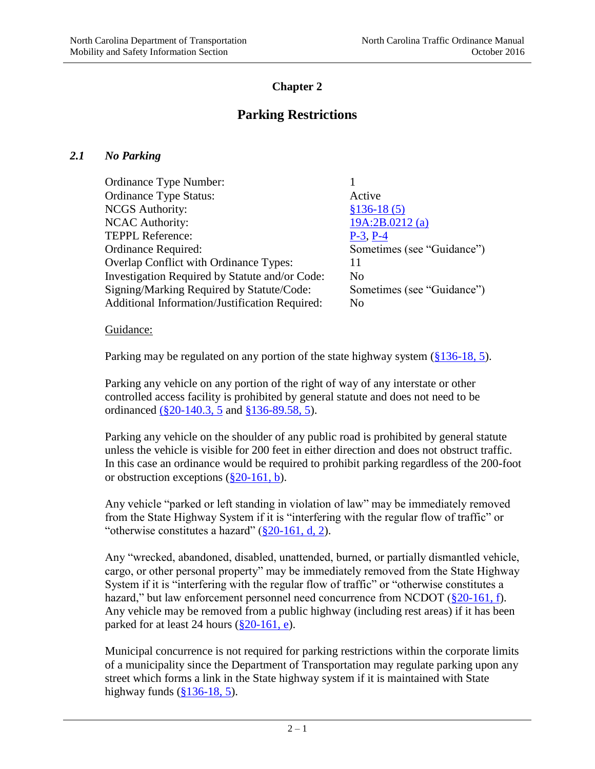# **Chapter 2**

# **Parking Restrictions**

#### *2.1 No Parking*

| Ordinance Type Number:                         |                            |
|------------------------------------------------|----------------------------|
| <b>Ordinance Type Status:</b>                  | Active                     |
| <b>NCGS</b> Authority:                         | $$136-18(5)$               |
| <b>NCAC Authority:</b>                         | 19A:2B.0212(a)             |
| <b>TEPPL Reference:</b>                        | $P-3$ , $P-4$              |
| Ordinance Required:                            | Sometimes (see "Guidance") |
| <b>Overlap Conflict with Ordinance Types:</b>  | 11                         |
| Investigation Required by Statute and/or Code: | $\overline{N}$             |
| Signing/Marking Required by Statute/Code:      | Sometimes (see "Guidance") |
| Additional Information/Justification Required: | No                         |
|                                                |                            |

Guidance:

Parking may be regulated on any portion of the state highway system  $(\frac{8136-18}{5})$ .

Parking any vehicle on any portion of the right of way of any interstate or other controlled access facility is prohibited by general statute and does not need to be ordinanced [\(§20-140.3, 5](http://www.ncleg.net/gascripts/statutes/statutelookup.pl?statute=20-140.3) and [§136-89.58, 5\)](http://www.ncleg.net/gascripts/statutes/statutelookup.pl?statute=136-89.58).

Parking any vehicle on the shoulder of any public road is prohibited by general statute unless the vehicle is visible for 200 feet in either direction and does not obstruct traffic. In this case an ordinance would be required to prohibit parking regardless of the 200-foot or obstruction exceptions  $(\S 20-161, b)$ .

Any vehicle "parked or left standing in violation of law" may be immediately removed from the State Highway System if it is "interfering with the regular flow of traffic" or "otherwise constitutes a hazard"  $(\frac{820-161}{, d, 2})$ .

Any "wrecked, abandoned, disabled, unattended, burned, or partially dismantled vehicle, cargo, or other personal property" may be immediately removed from the State Highway System if it is "interfering with the regular flow of traffic" or "otherwise constitutes a hazard," but law enforcement personnel need concurrence from NCDOT  $(\frac{820-161}{1})$ . Any vehicle may be removed from a public highway (including rest areas) if it has been parked for at least 24 hours  $(\frac{820-161}{9})$ .

Municipal concurrence is not required for parking restrictions within the corporate limits of a municipality since the Department of Transportation may regulate parking upon any street which forms a link in the State highway system if it is maintained with State highway funds [\(§136-18, 5\)](http://www.ncleg.net/gascripts/statutes/statutelookup.pl?statute=136-18).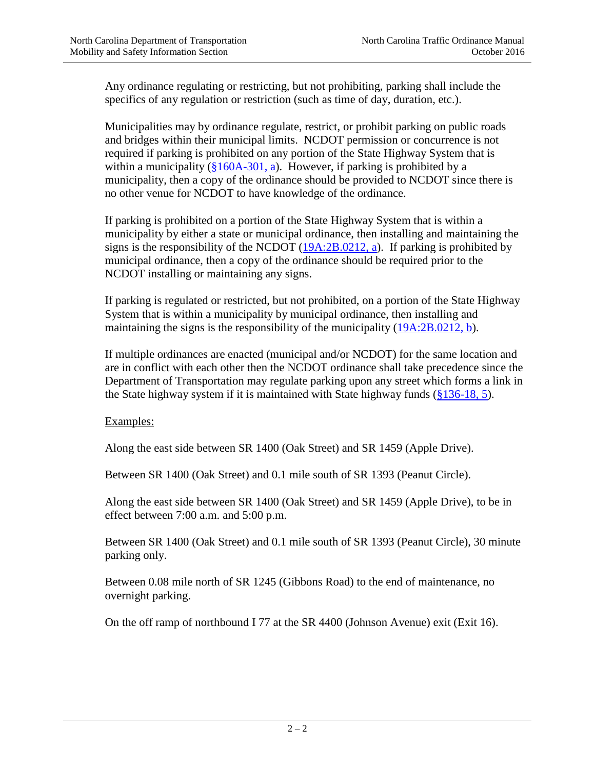Any ordinance regulating or restricting, but not prohibiting, parking shall include the specifics of any regulation or restriction (such as time of day, duration, etc.).

Municipalities may by ordinance regulate, restrict, or prohibit parking on public roads and bridges within their municipal limits. NCDOT permission or concurrence is not required if parking is prohibited on any portion of the State Highway System that is within a municipality  $(\frac{8160A-301}{a})$ . However, if parking is prohibited by a municipality, then a copy of the ordinance should be provided to NCDOT since there is no other venue for NCDOT to have knowledge of the ordinance.

If parking is prohibited on a portion of the State Highway System that is within a municipality by either a state or municipal ordinance, then installing and maintaining the signs is the responsibility of the NCDOT [\(19A:2B.0212, a\)](http://reports.oah.state.nc.us/ncac/title%2019a%20-%20transportation/chapter%2002%20-%20division%20of%20highways/subchapter%20b/19a%20ncac%2002b%20.0212.html). If parking is prohibited by municipal ordinance, then a copy of the ordinance should be required prior to the NCDOT installing or maintaining any signs.

If parking is regulated or restricted, but not prohibited, on a portion of the State Highway System that is within a municipality by municipal ordinance, then installing and maintaining the signs is the responsibility of the municipality [\(19A:2B.0212, b\)](http://reports.oah.state.nc.us/ncac/title%2019a%20-%20transportation/chapter%2002%20-%20division%20of%20highways/subchapter%20b/19a%20ncac%2002b%20.0212.html).

If multiple ordinances are enacted (municipal and/or NCDOT) for the same location and are in conflict with each other then the NCDOT ordinance shall take precedence since the Department of Transportation may regulate parking upon any street which forms a link in the State highway system if it is maintained with State highway funds  $(\frac{8136-18}{5})$ .

Examples:

Along the east side between SR 1400 (Oak Street) and SR 1459 (Apple Drive).

Between SR 1400 (Oak Street) and 0.1 mile south of SR 1393 (Peanut Circle).

Along the east side between SR 1400 (Oak Street) and SR 1459 (Apple Drive), to be in effect between 7:00 a.m. and 5:00 p.m.

Between SR 1400 (Oak Street) and 0.1 mile south of SR 1393 (Peanut Circle), 30 minute parking only.

Between 0.08 mile north of SR 1245 (Gibbons Road) to the end of maintenance, no overnight parking.

On the off ramp of northbound I 77 at the SR 4400 (Johnson Avenue) exit (Exit 16).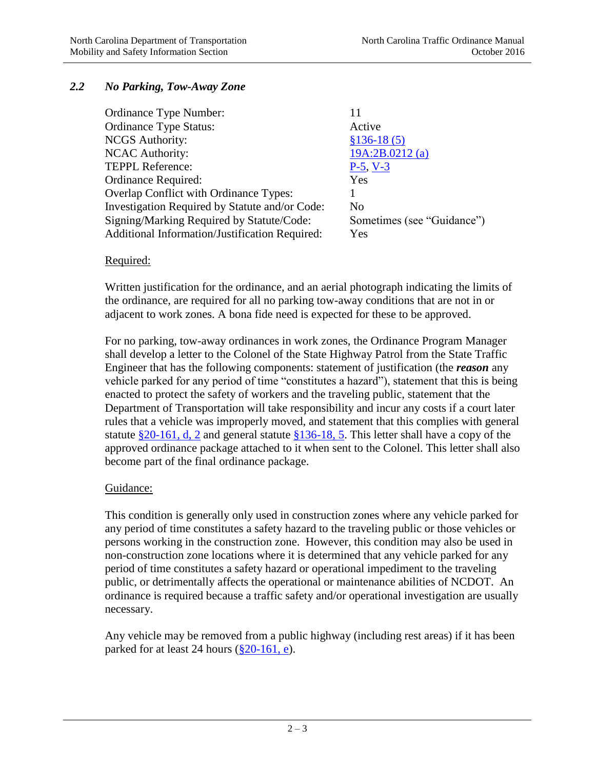## *2.2 No Parking, Tow-Away Zone*

| Ordinance Type Number:                         |                            |
|------------------------------------------------|----------------------------|
| <b>Ordinance Type Status:</b>                  | Active                     |
| <b>NCGS</b> Authority:                         | $$136-18(5)$               |
| <b>NCAC Authority:</b>                         | 19A:2B.0212(a)             |
| <b>TEPPL Reference:</b>                        | $P-5, V-3$                 |
| Ordinance Required:                            | Yes                        |
| <b>Overlap Conflict with Ordinance Types:</b>  |                            |
| Investigation Required by Statute and/or Code: | N <sub>0</sub>             |
| Signing/Marking Required by Statute/Code:      | Sometimes (see "Guidance") |
| Additional Information/Justification Required: | Yes                        |
|                                                |                            |

#### Required:

Written justification for the ordinance, and an aerial photograph indicating the limits of the ordinance, are required for all no parking tow-away conditions that are not in or adjacent to work zones. A bona fide need is expected for these to be approved.

For no parking, tow-away ordinances in work zones, the Ordinance Program Manager shall develop a letter to the Colonel of the State Highway Patrol from the State Traffic Engineer that has the following components: statement of justification (the *reason* any vehicle parked for any period of time "constitutes a hazard"), statement that this is being enacted to protect the safety of workers and the traveling public, statement that the Department of Transportation will take responsibility and incur any costs if a court later rules that a vehicle was improperly moved, and statement that this complies with general statute  $$20-161$ , d, 2 and general statute  $$136-18$ , 5. This letter shall have a copy of the approved ordinance package attached to it when sent to the Colonel. This letter shall also become part of the final ordinance package.

#### Guidance:

This condition is generally only used in construction zones where any vehicle parked for any period of time constitutes a safety hazard to the traveling public or those vehicles or persons working in the construction zone. However, this condition may also be used in non-construction zone locations where it is determined that any vehicle parked for any period of time constitutes a safety hazard or operational impediment to the traveling public, or detrimentally affects the operational or maintenance abilities of NCDOT. An ordinance is required because a traffic safety and/or operational investigation are usually necessary.

Any vehicle may be removed from a public highway (including rest areas) if it has been parked for at least 24 hours  $(\S 20$ -161, e).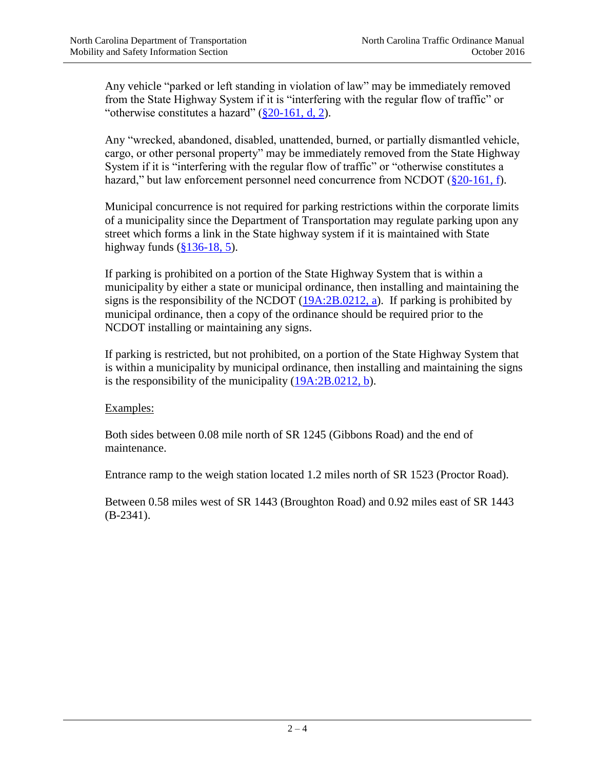Any vehicle "parked or left standing in violation of law" may be immediately removed from the State Highway System if it is "interfering with the regular flow of traffic" or "otherwise constitutes a hazard"  $(\frac{8}{20} - 161, d, 2)$ .

Any "wrecked, abandoned, disabled, unattended, burned, or partially dismantled vehicle, cargo, or other personal property" may be immediately removed from the State Highway System if it is "interfering with the regular flow of traffic" or "otherwise constitutes a hazard," but law enforcement personnel need concurrence from NCDOT ( $\S 20-161$ , f).

Municipal concurrence is not required for parking restrictions within the corporate limits of a municipality since the Department of Transportation may regulate parking upon any street which forms a link in the State highway system if it is maintained with State highway funds [\(§136-18, 5\)](http://www.ncleg.net/gascripts/statutes/statutelookup.pl?statute=136-18).

If parking is prohibited on a portion of the State Highway System that is within a municipality by either a state or municipal ordinance, then installing and maintaining the signs is the responsibility of the NCDOT [\(19A:2B.0212, a\)](http://reports.oah.state.nc.us/ncac/title%2019a%20-%20transportation/chapter%2002%20-%20division%20of%20highways/subchapter%20b/19a%20ncac%2002b%20.0212.html). If parking is prohibited by municipal ordinance, then a copy of the ordinance should be required prior to the NCDOT installing or maintaining any signs.

If parking is restricted, but not prohibited, on a portion of the State Highway System that is within a municipality by municipal ordinance, then installing and maintaining the signs is the responsibility of the municipality [\(19A:2B.0212, b\)](http://reports.oah.state.nc.us/ncac/title%2019a%20-%20transportation/chapter%2002%20-%20division%20of%20highways/subchapter%20b/19a%20ncac%2002b%20.0212.html).

Examples:

Both sides between 0.08 mile north of SR 1245 (Gibbons Road) and the end of maintenance.

Entrance ramp to the weigh station located 1.2 miles north of SR 1523 (Proctor Road).

Between 0.58 miles west of SR 1443 (Broughton Road) and 0.92 miles east of SR 1443 (B-2341).